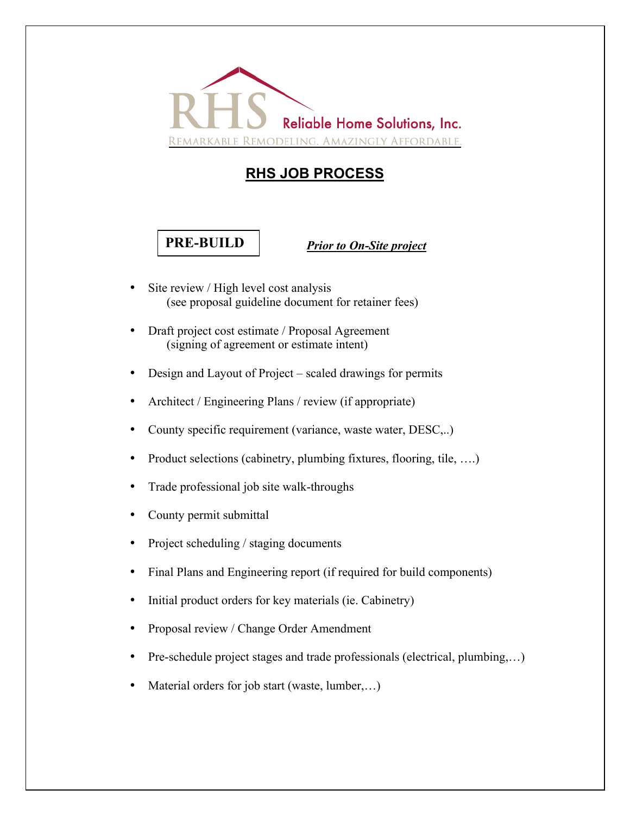

## **RHS JOB PROCESS**

## **PRE-BUILD**

*Prior to On-Site project*

- Site review / High level cost analysis (see proposal guideline document for retainer fees)
- Draft project cost estimate / Proposal Agreement (signing of agreement or estimate intent)
- Design and Layout of Project scaled drawings for permits
- Architect / Engineering Plans / review (if appropriate)
- County specific requirement (variance, waste water, DESC,..)
- Product selections (cabinetry, plumbing fixtures, flooring, tile, ....)
- Trade professional job site walk-throughs
- County permit submittal
- Project scheduling / staging documents
- Final Plans and Engineering report (if required for build components)
- Initial product orders for key materials (ie. Cabinetry)
- Proposal review / Change Order Amendment
- Pre-schedule project stages and trade professionals (electrical, plumbing,...)
- Material orders for job start (waste, lumber,...)